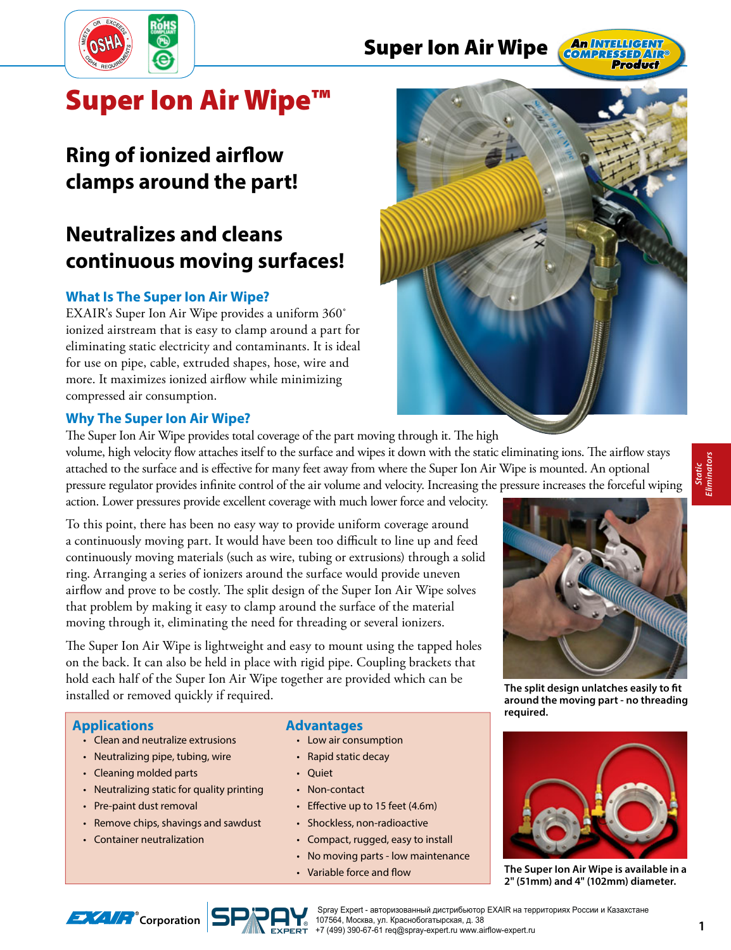

## **Super Ion Air Wipe**



# **Super Ion Air Wipe™**

# **Ring of ionized airflow clamps around the part!**

# **Neutralizes and cleans continuous moving surfaces!**

## **What Is The Super Ion Air Wipe?**

EXAIR's Super Ion Air Wipe provides a uniform 360˚ ionized airstream that is easy to clamp around a part for eliminating static electricity and contaminants. It is ideal for use on pipe, cable, extruded shapes, hose, wire and more. It maximizes ionized airflow while minimizing compressed air consumption.

## **Why The Super Ion Air Wipe?**

The Super Ion Air Wipe provides total coverage of the part moving through it. The high volume, high velocity flow attaches itself to the surface and wipes it down with the static eliminating ions. The airflow stays attached to the surface and is effective for many feet away from where the Super Ion Air Wipe is mounted. An optional pressure regulator provides infinite control of the air volume and velocity. Increasing the pressure increases the forceful wiping action. Lower pressures provide excellent coverage with much lower force and velocity.

To this point, there has been no easy way to provide uniform coverage around a continuously moving part. It would have been too difficult to line up and feed continuously moving materials (such as wire, tubing or extrusions) through a solid ring. Arranging a series of ionizers around the surface would provide uneven airflow and prove to be costly. The split design of the Super Ion Air Wipe solves that problem by making it easy to clamp around the surface of the material moving through it, eliminating the need for threading or several ionizers.

The Super Ion Air Wipe is lightweight and easy to mount using the tapped holes on the back. It can also be held in place with rigid pipe. Coupling brackets that hold each half of the Super Ion Air Wipe together are provided which can be installed or removed quickly if required.<br>**The split design unlatches easily to fit**<br>**The split design unlatches easily to fit**<br>**The split design unlatches easily to fit** 

## **Applications**

- Clean and neutralize extrusions
- Neutralizing pipe, tubing, wire
- Cleaning molded parts
- Neutralizing static for quality printing
- Pre-paint dust removal
- Remove chips, shavings and sawdust
- Container neutralization

## **Advantages**

- Low air consumption
- Rapid static decay
- Quiet
- Non-contact
- $\cdot$  Effective up to 15 feet (4.6m)
- Shockless, non-radioactive • Compact, rugged, easy to install
- No moving parts low maintenance
- Variable force and flow





**around the moving part - no threading required.**



**The Super Ion Air Wipe is available in a 2" (51mm) and 4" (102mm) diameter.**